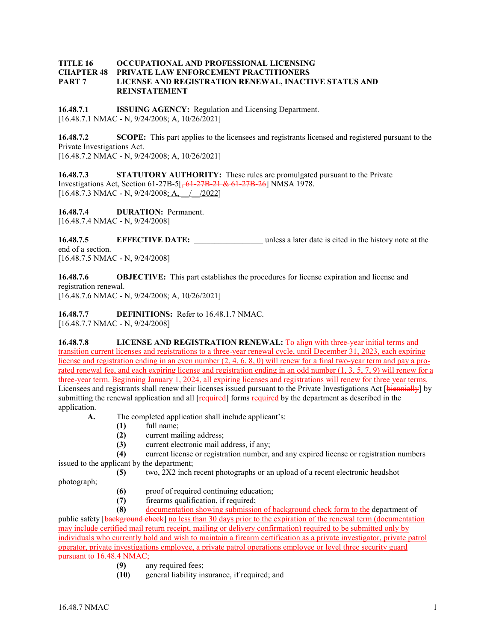## **TITLE 16 OCCUPATIONAL AND PROFESSIONAL LICENSING CHAPTER 48 PRIVATE LAW ENFORCEMENT PRACTITIONERS PART 7 LICENSE AND REGISTRATION RENEWAL, INACTIVE STATUS AND REINSTATEMENT**

**16.48.7.1 ISSUING AGENCY:** Regulation and Licensing Department. [16.48.7.1 NMAC - N, 9/24/2008; A, 10/26/2021]

**16.48.7.2 SCOPE:** This part applies to the licensees and registrants licensed and registered pursuant to the Private Investigations Act. [16.48.7.2 NMAC - N, 9/24/2008; A, 10/26/2021]

**16.48.7.3 STATUTORY AUTHORITY:** These rules are promulgated pursuant to the Private Investigations Act, Section 61-27B-5[, 61-27B-21 & 61-27B-26] NMSA 1978.  $[16.48.7.3 \text{ NMAC - N}, 9/24/2008; \text{A}, / 2022]$ 

**16.48.7.4 DURATION:** Permanent. [16.48.7.4 NMAC - N, 9/24/2008]

**16.48.7.5 EFFECTIVE DATE:** unless a later date is cited in the history note at the end of a section. [16.48.7.5 NMAC - N, 9/24/2008]

**16.48.7.6 OBJECTIVE:** This part establishes the procedures for license expiration and license and registration renewal.

[16.48.7.6 NMAC - N, 9/24/2008; A, 10/26/2021]

**16.48.7.7 DEFINITIONS:** Refer to 16.48.1.7 NMAC. [16.48.7.7 NMAC - N, 9/24/2008]

**16.48.7.8 LICENSE AND REGISTRATION RENEWAL:** To align with three-year initial terms and transition current licenses and registrations to a three-year renewal cycle, until December 31, 2023, each expiring license and registration ending in an even number  $(2, 4, 6, 8, 0)$  will renew for a final two-year term and pay a prorated renewal fee, and each expiring license and registration ending in an odd number (1, 3, 5, 7, 9) will renew for a three-year term. Beginning January 1, 2024, all expiring licenses and registrations will renew for three year terms. Licensees and registrants shall renew their licenses issued pursuant to the Private Investigations Act [biennially] by submitting the renewal application and all [required] forms required by the department as described in the application.

- **A.** The completed application shall include applicant's:
	- **(1)** full name;
	- **(2)** current mailing address;
	- **(3)** current electronic mail address, if any;

**(4)** current license or registration number, and any expired license or registration numbers issued to the applicant by the department;

**(5)** two, 2X2 inch recent photographs or an upload of a recent electronic headshot

photograph;

- **(6)** proof of required continuing education;
- **(7)** firearms qualification, if required;

**(8)** documentation showing submission of background check form to the department of public safety [background check] no less than 30 days prior to the expiration of the renewal term (documentation may include certified mail return receipt, mailing or delivery confirmation) required to be submitted only by individuals who currently hold and wish to maintain a firearm certification as a private investigator, private patrol operator, private investigations employee, a private patrol operations employee or level three security guard pursuant to 16.48.4 NMAC;

- **(9)** any required fees;
- **(10)** general liability insurance, if required; and